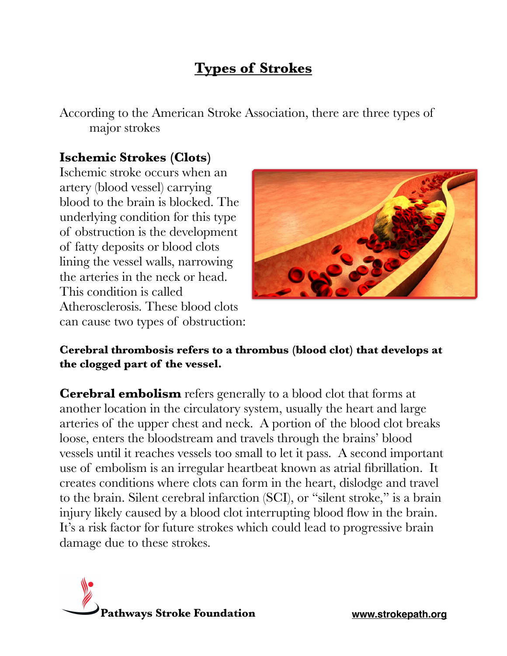# **Types of Strokes**

According to the American Stroke Association, there are three types of major strokes

# **Ischemic Strokes (Clots)**

Ischemic stroke occurs when an artery (blood vessel) carrying blood to the brain is blocked. The underlying condition for this type of obstruction is the development of fatty deposits or blood clots lining the vessel walls, narrowing the arteries in the neck or head. This condition is called Atherosclerosis. These blood clots can cause two types of obstruction:



#### **Cerebral thrombosis refers to a thrombus (blood clot) that develops at the clogged part of the vessel.**

**Cerebral embolism** refers generally to a blood clot that forms at another location in the circulatory system, usually the heart and large arteries of the upper chest and neck. A portion of the blood clot breaks loose, enters the bloodstream and travels through the brains' blood vessels until it reaches vessels too small to let it pass. A second important use of embolism is an irregular heartbeat known as atrial fibrillation. It creates conditions where clots can form in the heart, dislodge and travel to the brain. Silent cerebral infarction (SCI), or "silent stroke," is a brain injury likely caused by a blood clot interrupting blood flow in the brain. It's a risk factor for future strokes which could lead to progressive brain damage due to these strokes.

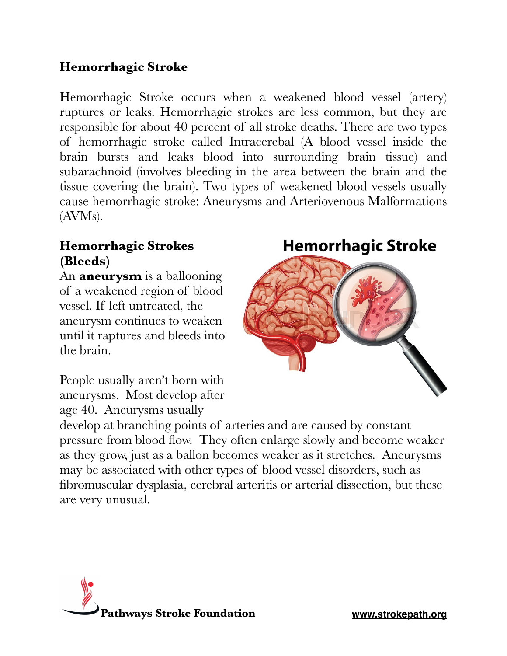# **Hemorrhagic Stroke**

Hemorrhagic Stroke occurs when a weakened blood vessel (artery) ruptures or leaks. Hemorrhagic strokes are less common, but they are responsible for about 40 percent of all stroke deaths. There are two types of hemorrhagic stroke called Intracerebal (A blood vessel inside the brain bursts and leaks blood into surrounding brain tissue) and subarachnoid (involves bleeding in the area between the brain and the tissue covering the brain). Two types of weakened blood vessels usually cause hemorrhagic stroke: Aneurysms and Arteriovenous Malformations (AVMs).

### **Hemorrhagic Strokes (Bleeds)**

An **aneurysm** is a ballooning of a weakened region of blood vessel. If left untreated, the aneurysm continues to weaken until it raptures and bleeds into the brain.

**Hemorrhagic Stroke** 



People usually aren't born with aneurysms. Most develop after age 40. Aneurysms usually

develop at branching points of arteries and are caused by constant pressure from blood flow. They often enlarge slowly and become weaker as they grow, just as a ballon becomes weaker as it stretches. Aneurysms may be associated with other types of blood vessel disorders, such as fibromuscular dysplasia, cerebral arteritis or arterial dissection, but these are very unusual.

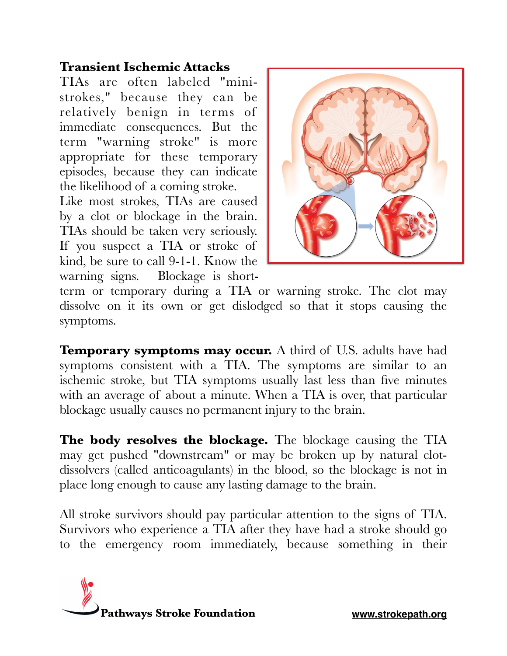# **Transient Ischemic Attacks**

TIAs are often labeled "ministrokes," because they can be relatively benign in terms of immediate consequences. But the term "warning stroke" is more appropriate for these temporary episodes, because they can indicate the likelihood of a coming stroke.

Like most strokes, TIAs are caused by a clot or blockage in the brain. TIAs should be taken very seriously. If you suspect a TIA or stroke of kind, be sure to call 9-1-1. Know the warning signs. Blockage is short-



term or temporary during a TIA or warning stroke. The clot may dissolve on it its own or get dislodged so that it stops causing the symptoms.

**Temporary symptoms may occur.** A third of U.S. adults have had symptoms consistent with a TIA. The symptoms are similar to an ischemic stroke, but TIA symptoms usually last less than five minutes with an average of about a minute. When a TIA is over, that particular blockage usually causes no permanent injury to the brain.

**The body resolves the blockage.** The blockage causing the TIA may get pushed "downstream" or may be broken up by natural clotdissolvers (called anticoagulants) in the blood, so the blockage is not in place long enough to cause any lasting damage to the brain.

All stroke survivors should pay particular attention to the signs of TIA. Survivors who experience a TIA after they have had a stroke should go to the emergency room immediately, because something in their